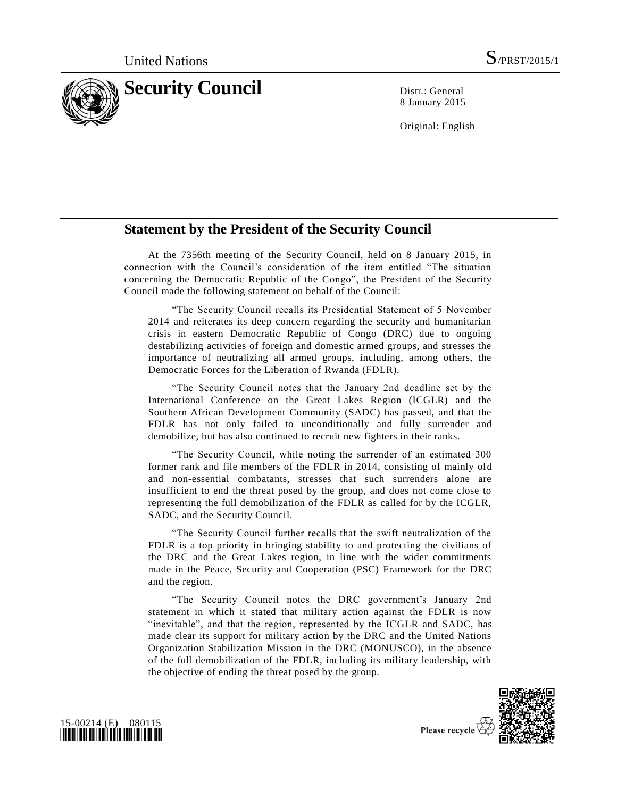

8 January 2015

Original: English

## **Statement by the President of the Security Council**

At the 7356th meeting of the Security Council, held on 8 January 2015, in connection with the Council's consideration of the item entitled "The situation concerning the Democratic Republic of the Congo", the President of the Security Council made the following statement on behalf of the Council:

"The Security Council recalls its Presidential Statement of 5 November 2014 and reiterates its deep concern regarding the security and humanitarian crisis in eastern Democratic Republic of Congo (DRC) due to ongoing destabilizing activities of foreign and domestic armed groups, and stresses the importance of neutralizing all armed groups, including, among others, the Democratic Forces for the Liberation of Rwanda (FDLR).

"The Security Council notes that the January 2nd deadline set by the International Conference on the Great Lakes Region (ICGLR) and the Southern African Development Community (SADC) has passed, and that the FDLR has not only failed to unconditionally and fully surrender and demobilize, but has also continued to recruit new fighters in their ranks.

"The Security Council, while noting the surrender of an estimated 300 former rank and file members of the FDLR in 2014, consisting of mainly old and non-essential combatants, stresses that such surrenders alone are insufficient to end the threat posed by the group, and does not come close to representing the full demobilization of the FDLR as called for by the ICGLR, SADC, and the Security Council.

"The Security Council further recalls that the swift neutralization of the FDLR is a top priority in bringing stability to and protecting the civilians of the DRC and the Great Lakes region, in line with the wider commitments made in the Peace, Security and Cooperation (PSC) Framework for the DRC and the region.

"The Security Council notes the DRC government's January 2nd statement in which it stated that military action against the FDLR is now "inevitable", and that the region, represented by the ICGLR and SADC, has made clear its support for military action by the DRC and the United Nations Organization Stabilization Mission in the DRC (MONUSCO), in the absence of the full demobilization of the FDLR, including its military leadership, with the objective of ending the threat posed by the group.





Please recycle  $\overline{\mathcal{L}}$